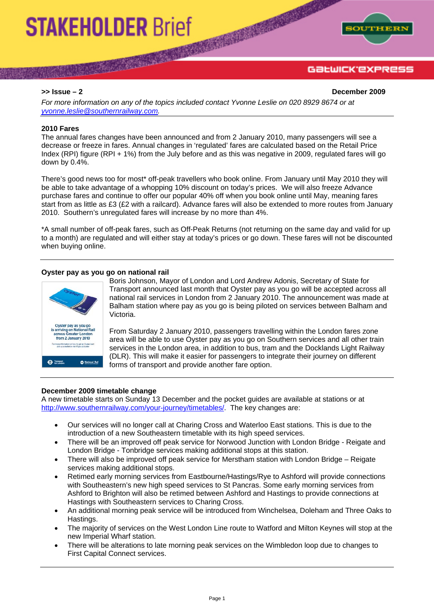# **STAKEHOLDER Brief**

**The Coleman** 



## GƏLWICK'EXPRESS

**>> Issue – 2 December 2009** 

*For more information on any of the topics included contact Yvonne Leslie on 020 8929 8674 or at [yvonne.leslie@southernrailway.com](mailto:yvonne.leslie@southernrailway.com).* 

#### **2010 Fares**

The annual fares changes have been announced and from 2 January 2010, many passengers will see a decrease or freeze in fares. Annual changes in 'regulated' fares are calculated based on the Retail Price Index (RPI) figure (RPI + 1%) from the July before and as this was negative in 2009, regulated fares will go down by 0.4%.

There's good news too for most\* off-peak travellers who book online. From January until May 2010 they will be able to take advantage of a whopping 10% discount on today's prices. We will also freeze Advance purchase fares and continue to offer our popular 40% off when you book online until May, meaning fares start from as little as £3 (£2 with a railcard). Advance fares will also be extended to more routes from January 2010. Southern's unregulated fares will increase by no more than 4%.

\*A small number of off-peak fares, such as Off-Peak Returns (not returning on the same day and valid for up to a month) are regulated and will either stay at today's prices or go down. These fares will not be discounted when buying online.

#### **Oyster pay as you go on national rail**



Boris Johnson, Mayor of London and Lord Andrew Adonis, Secretary of State for Transport announced last month that Oyster pay as you go will be accepted across all national rail services in London from 2 January 2010. The announcement was made at Balham station where pay as you go is being piloted on services between Balham and Victoria.

**CALL AND INCOME.** 

From Saturday 2 January 2010, passengers travelling within the London fares zone area will be able to use Oyster pay as you go on Southern services and all other train services in the London area, in addition to bus, tram and the Docklands Light Railway (DLR). This will make it easier for passengers to integrate their journey on different forms of transport and provide another fare option.

#### **December 2009 timetable change**

A new timetable starts on Sunday 13 December and the pocket guides are available at stations or at <http://www.southernrailway.com/your-journey/timetables/>. The key changes are:

- Our services will no longer call at Charing Cross and Waterloo East stations. This is due to the introduction of a new Southeastern timetable with its high speed services.
- There will be an improved off peak service for Norwood Junction with London Bridge Reigate and London Bridge - Tonbridge services making additional stops at this station.
- There will also be improved off peak service for Merstham station with London Bridge Reigate services making additional stops.
- Retimed early morning services from Eastbourne/Hastings/Rye to Ashford will provide connections with Southeastern's new high speed services to St Pancras. Some early morning services from Ashford to Brighton will also be retimed between Ashford and Hastings to provide connections at Hastings with Southeastern services to Charing Cross.
- An additional morning peak service will be introduced from Winchelsea, Doleham and Three Oaks to Hastings.
- The majority of services on the West London Line route to Watford and Milton Keynes will stop at the new Imperial Wharf station.
- There will be alterations to late morning peak services on the Wimbledon loop due to changes to First Capital Connect services.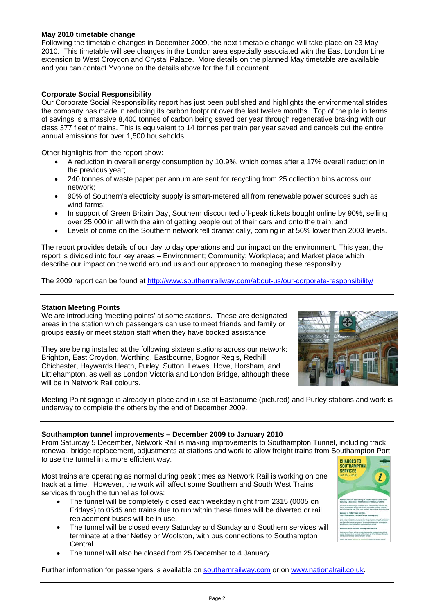#### **May 2010 timetable change**

Following the timetable changes in December 2009, the next timetable change will take place on 23 May 2010. This timetable will see changes in the London area especially associated with the East London Line extension to West Croydon and Crystal Palace. More details on the planned May timetable are available and you can contact Yvonne on the details above for the full document.

### **Corporate Social Responsibility**

Our Corporate Social Responsibility report has just been published and highlights the environmental strides the company has made in reducing its carbon footprint over the last twelve months. Top of the pile in terms of savings is a massive 8,400 tonnes of carbon being saved per year through regenerative braking with our class 377 fleet of trains. This is equivalent to 14 tonnes per train per year saved and cancels out the entire annual emissions for over 1,500 households.

Other highlights from the report show:

- A reduction in overall energy consumption by 10.9%, which comes after a 17% overall reduction in the previous year;
- 240 tonnes of waste paper per annum are sent for recycling from 25 collection bins across our network;
- 90% of Southern's electricity supply is smart-metered all from renewable power sources such as wind farms;
- In support of Green Britain Day, Southern discounted off-peak tickets bought online by 90%, selling over 25,000 in all with the aim of getting people out of their cars and onto the train; and
- Levels of crime on the Southern network fell dramatically, coming in at 56% lower than 2003 levels.

The report provides details of our day to day operations and our impact on the environment. This year, the report is divided into four key areas – Environment; Community; Workplace; and Market place which describe our impact on the world around us and our approach to managing these responsibly.

The 2009 report can be found at<http://www.southernrailway.com/about-us/our-corporate-responsibility/>

#### **Station Meeting Points**

We are introducing 'meeting points' at some stations. These are designated areas in the station which passengers can use to meet friends and family or groups easily or meet station staff when they have booked assistance.

They are being installed at the following sixteen stations across our network: Brighton, East Croydon, Worthing, Eastbourne, Bognor Regis, Redhill, Chichester, Haywards Heath, Purley, Sutton, Lewes, Hove, Horsham, and Littlehampton, as well as London Victoria and London Bridge, although these will be in Network Rail colours.



Meeting Point signage is already in place and in use at Eastbourne (pictured) and Purley stations and work is underway to complete the others by the end of December 2009.

#### **Southampton tunnel improvements – December 2009 to January 2010**

From Saturday 5 December, Network Rail is making improvements to Southampton Tunnel, including track renewal, bridge replacement, adjustments at stations and work to allow freight trains from Southampton Port to use the tunnel in a more efficient way.

Most trains are operating as normal during peak times as Network Rail is working on one track at a time. However, the work will affect some Southern and South West Trains services through the tunnel as follows:

- The tunnel will be completely closed each weekday night from 2315 (0005 on Fridays) to 0545 and trains due to run within these times will be diverted or rail replacement buses will be in use.
- The tunnel will be closed every Saturday and Sunday and Southern services will terminate at either Netley or Woolston, with bus connections to Southampton Central.
- The tunnel will also be closed from 25 December to 4 January.

Further information for passengers is available on southernrailway.com or on [www.nationalrail.co.uk.](http://www.nationalrail.co.uk/)